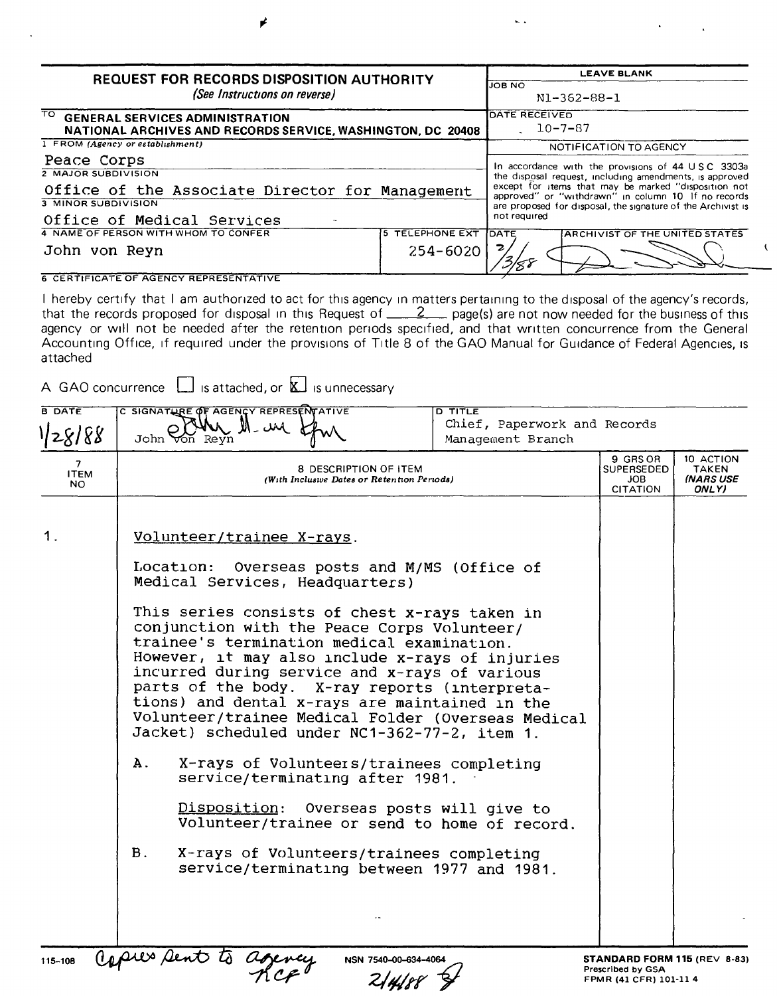| <b>REQUEST FOR RECORDS DISPOSITION AUTHORITY</b><br>(See Instructions on reverse)                                                          |                            | <b>LEAVE BLANK</b><br><b>JOB NO</b><br>N1-362-88-1                                                                                                                                                                                                                                                          |  |  |  |
|--------------------------------------------------------------------------------------------------------------------------------------------|----------------------------|-------------------------------------------------------------------------------------------------------------------------------------------------------------------------------------------------------------------------------------------------------------------------------------------------------------|--|--|--|
| $\overline{\mathrm{TO}}$<br><b>GENERAL SERVICES ADMINISTRATION</b><br>NATIONAL ARCHIVES AND RECORDS SERVICE, WASHINGTON, DC 20408          |                            | <b>DATE RECEIVED</b><br>$10 - 7 - 87$                                                                                                                                                                                                                                                                       |  |  |  |
| 1 FROM (Agency or establishment)                                                                                                           |                            | NOTIFICATION TO AGENCY                                                                                                                                                                                                                                                                                      |  |  |  |
| Peace Corps<br>2 MAJOR SUBDIVISION<br>Office of the Associate Director for Management<br>3 MINOR SUBDIVISION<br>Office of Medical Services |                            | In accordance with the provisions of 44 USC 3303a<br>the disposal request, including amendments, is approved<br>except for items that may be marked "disposition not<br>approved" or "withdrawn" in column 10 If no records<br>are proposed for disposal, the signature of the Archivist is<br>not required |  |  |  |
| 4 NAME OF PERSON WITH WHOM TO CONFER                                                                                                       | <b>TELEPHONE EXT</b><br>5. | <b>IDATE</b><br><b>ARCHIVIST OF THE UNITED STATES</b>                                                                                                                                                                                                                                                       |  |  |  |
| John von Reyn                                                                                                                              | $254 - 6020$               |                                                                                                                                                                                                                                                                                                             |  |  |  |
| <b>6 CERTIFICATE OF AGENCY REPRESENTATIVE</b>                                                                                              |                            |                                                                                                                                                                                                                                                                                                             |  |  |  |

 $\sim$   $\sim$ 

I hereby certify that I am authorized to act for this agency In matters pertaining to the disposal of the agency's records, that the records proposed for disposal in this Request of \_\_\_\_\_\_\_\_\_\_\_ page(s) are not now needed for the business of this agency or will not be needed after the retention periods specified, and that written concurrence from the Genera Accounting Office, if required under the provisions of Title 8 of the GAO Manual for Guidance of Federal Agencies, is attached

A GAO concurrence  $\Box$  is attached, or  $\overline{\mathbb{K}}$  is unnecessary

| 9 GRS OR<br>$7^{\circ}$<br>8 DESCRIPTION OF ITEM<br>SUPERSEDED<br><b>ITEM</b><br>(With Inclusive Dates or Retention Periods)<br>JOB.<br><b>NO</b><br><b>CITATION</b><br>1.<br>Volunteer/trainee X-rays.<br>Location: Overseas posts and M/MS (Office of<br>Medical Services, Headquarters)<br>This series consists of chest x-rays taken in<br>conjunction with the Peace Corps Volunteer/<br>trainee's termination medical examination.<br>However, it may also include x-rays of injuries<br>incurred during service and x-rays of various<br>parts of the body. X-ray reports (interpreta-<br>tions) and dental x-rays are maintained in the<br>Volunteer/trainee Medical Folder (Overseas Medical<br>Jacket) scheduled under NC1-362-77-2, item 1.<br>$\mathbf{A}$ .<br>X-rays of Volunteers/trainees completing<br>service/terminating after 1981.<br>Disposition: Overseas posts will give to<br>Volunteer/trainee or send to home of record. | <b>B</b> DATE<br>1/28/88 | C SIGNATURE OF AGENCY REPRESENTATIVE<br>$-$ UM<br>John <del>V</del> on Revn | <b>D TITLE</b><br>Chief, Paperwork and Records<br>Management Branch |  |                                          |
|-----------------------------------------------------------------------------------------------------------------------------------------------------------------------------------------------------------------------------------------------------------------------------------------------------------------------------------------------------------------------------------------------------------------------------------------------------------------------------------------------------------------------------------------------------------------------------------------------------------------------------------------------------------------------------------------------------------------------------------------------------------------------------------------------------------------------------------------------------------------------------------------------------------------------------------------------------|--------------------------|-----------------------------------------------------------------------------|---------------------------------------------------------------------|--|------------------------------------------|
|                                                                                                                                                                                                                                                                                                                                                                                                                                                                                                                                                                                                                                                                                                                                                                                                                                                                                                                                                     |                          |                                                                             |                                                                     |  | 10 ACTION<br>TAKEN<br>(NARS USE<br>ONLY) |
| <b>B</b> .<br>X-rays of Volunteers/trainees completing<br>service/terminating between 1977 and 1981.<br>opies sent to<br>STANDARD FORM 115 (REV 8-83)<br>NSN 7540-00-634-4064                                                                                                                                                                                                                                                                                                                                                                                                                                                                                                                                                                                                                                                                                                                                                                       | 115-108                  |                                                                             |                                                                     |  |                                          |